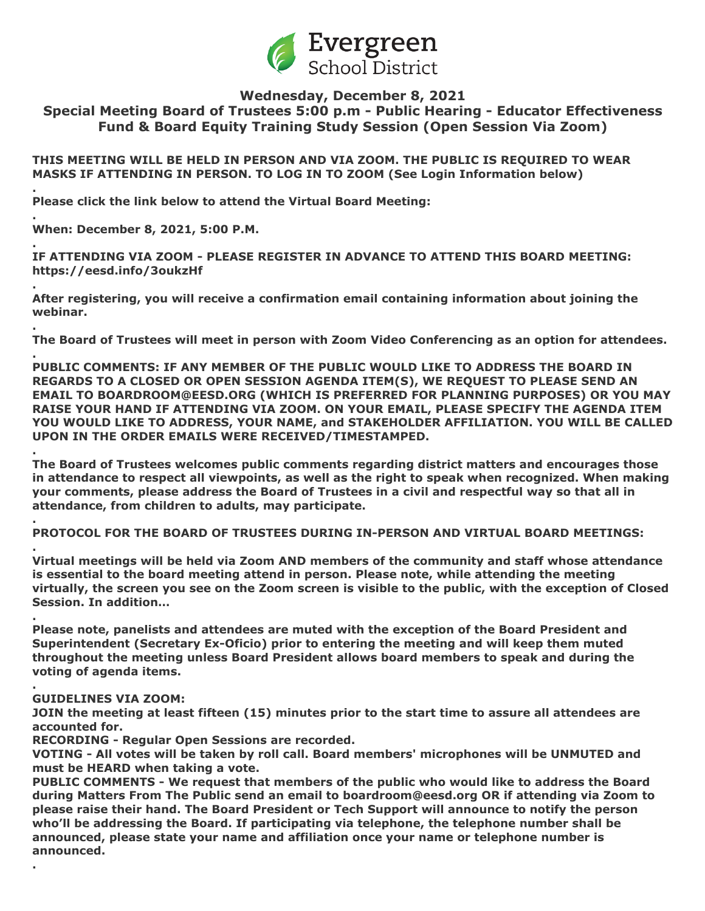

# **Wednesday, December 8, 2021 Special Meeting Board of Trustees 5:00 p.m - Public Hearing - Educator Effectiveness Fund & Board Equity Training Study Session (Open Session Via Zoom)**

**THIS MEETING WILL BE HELD IN PERSON AND VIA ZOOM. THE PUBLIC IS REQUIRED TO WEAR MASKS IF ATTENDING IN PERSON. TO LOG IN TO ZOOM (See Login Information below)**

**Please click the link below to attend the Virtual Board Meeting:**

**. When: December 8, 2021, 5:00 P.M.**

**.**

**.**

**.**

**.**

**.**

**.**

**.**

**.**

**.**

**. IF ATTENDING VIA ZOOM - PLEASE REGISTER IN ADVANCE TO ATTEND THIS BOARD MEETING: https://eesd.info/3oukzHf**

**After registering, you will receive a confirmation email containing information about joining the webinar.**

**The Board of Trustees will meet in person with Zoom Video Conferencing as an option for attendees.**

**PUBLIC COMMENTS: IF ANY MEMBER OF THE PUBLIC WOULD LIKE TO ADDRESS THE BOARD IN REGARDS TO A CLOSED OR OPEN SESSION AGENDA ITEM(S), WE REQUEST TO PLEASE SEND AN EMAIL TO BOARDROOM@EESD.ORG (WHICH IS PREFERRED FOR PLANNING PURPOSES) OR YOU MAY RAISE YOUR HAND IF ATTENDING VIA ZOOM. ON YOUR EMAIL, PLEASE SPECIFY THE AGENDA ITEM YOU WOULD LIKE TO ADDRESS, YOUR NAME, and STAKEHOLDER AFFILIATION. YOU WILL BE CALLED UPON IN THE ORDER EMAILS WERE RECEIVED/TIMESTAMPED.**

**The Board of Trustees welcomes public comments regarding district matters and encourages those in attendance to respect all viewpoints, as well as the right to speak when recognized. When making your comments, please address the Board of Trustees in a civil and respectful way so that all in attendance, from children to adults, may participate.**

**PROTOCOL FOR THE BOARD OF TRUSTEES DURING IN-PERSON AND VIRTUAL BOARD MEETINGS:**

**. Virtual meetings will be held via Zoom AND members of the community and staff whose attendance is essential to the board meeting attend in person. Please note, while attending the meeting virtually, the screen you see on the Zoom screen is visible to the public, with the exception of Closed Session. In addition…**

**Please note, panelists and attendees are muted with the exception of the Board President and Superintendent (Secretary Ex-Oficio) prior to entering the meeting and will keep them muted throughout the meeting unless Board President allows board members to speak and during the voting of agenda items.**

## **GUIDELINES VIA ZOOM:**

**JOIN the meeting at least fifteen (15) minutes prior to the start time to assure all attendees are accounted for.**

**RECORDING - Regular Open Sessions are recorded.**

**VOTING - All votes will be taken by roll call. Board members' microphones will be UNMUTED and must be HEARD when taking a vote.**

**PUBLIC COMMENTS - We request that members of the public who would like to address the Board during Matters From The Public send an email to boardroom@eesd.org OR if attending via Zoom to please raise their hand. The Board President or Tech Support will announce to notify the person who'll be addressing the Board. If participating via telephone, the telephone number shall be announced, please state your name and affiliation once your name or telephone number is announced.**